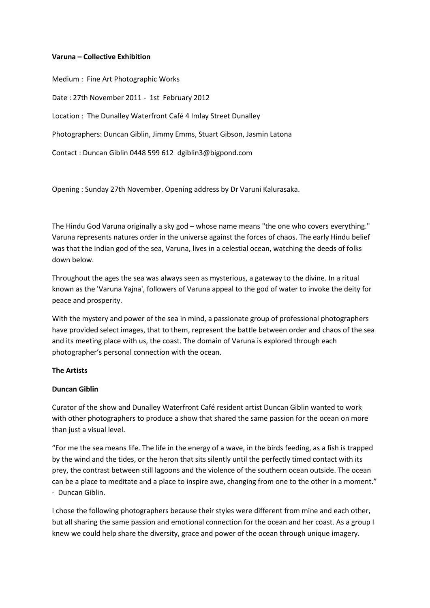#### **Varuna – Collective Exhibition**

Medium : Fine Art Photographic Works Date : 27th November 2011 - 1st February 2012 Location : The Dunalley Waterfront Café 4 Imlay Street Dunalley Photographers: Duncan Giblin, Jimmy Emms, Stuart Gibson, Jasmin Latona Contact : Duncan Giblin 0448 599 612 dgiblin3@bigpond.com

Opening : Sunday 27th November. Opening address by Dr Varuni Kalurasaka.

The Hindu God Varuna originally a sky god – whose name means "the one who covers everything." Varuna represents natures order in the universe against the forces of chaos. The early Hindu belief was that the Indian god of the sea, Varuna, lives in a celestial ocean, watching the deeds of folks down below.

Throughout the ages the sea was always seen as mysterious, a gateway to the divine. In a ritual known as the 'Varuna Yajna', followers of Varuna appeal to the god of water to invoke the deity for peace and prosperity.

With the mystery and power of the sea in mind, a passionate group of professional photographers have provided select images, that to them, represent the battle between order and chaos of the sea and its meeting place with us, the coast. The domain of Varuna is explored through each photographer's personal connection with the ocean.

# **The Artists**

# **Duncan Giblin**

Curator of the show and Dunalley Waterfront Café resident artist Duncan Giblin wanted to work with other photographers to produce a show that shared the same passion for the ocean on more than just a visual level.

"For me the sea means life. The life in the energy of a wave, in the birds feeding, as a fish is trapped by the wind and the tides, or the heron that sits silently until the perfectly timed contact with its prey, the contrast between still lagoons and the violence of the southern ocean outside. The ocean can be a place to meditate and a place to inspire awe, changing from one to the other in a moment." - Duncan Giblin.

I chose the following photographers because their styles were different from mine and each other, but all sharing the same passion and emotional connection for the ocean and her coast. As a group I knew we could help share the diversity, grace and power of the ocean through unique imagery.